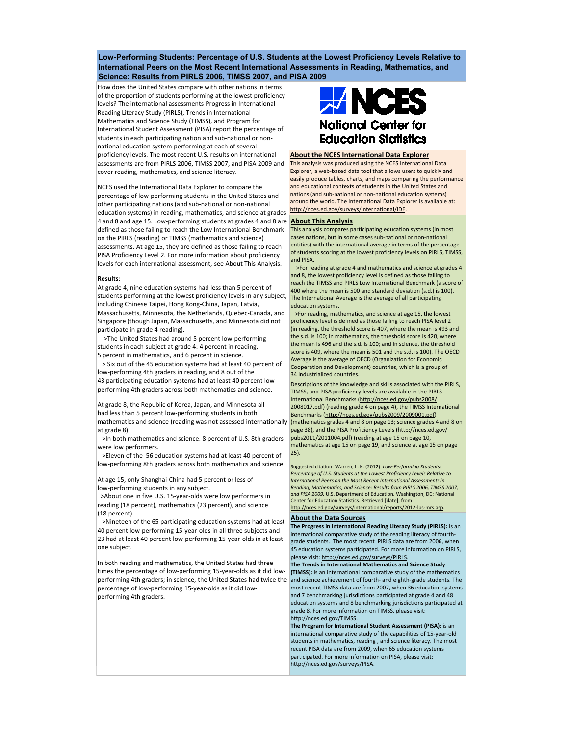**Low-Performing Students: Percentage of U.S. Students at the Lowest Proficiency Levels Relative to International Peers on the Most Recent International Assessments in Reading, Mathematics, and Science: Results from PIRLS 2006, TIMSS 2007, and PISA 2009**

How does the United States compare with other nations in terms of the proportion of students performing at the lowest proficiency levels? The international assessments Progress in International Reading Literacy Study (PIRLS), Trends in International Mathematics and Science Study (TIMSS), and Program for International Student Assessment (PISA) report the percentage of students in each participating nation and sub-national or nonnational education system performing at each of several proficiency levels. The most recent U.S. results on international assessments are from PIRLS 2006, TIMSS 2007, and PISA 2009 and cover reading, mathematics, and science literacy.

NCES used the International Data Explorer to compare the percentage of low-performing students in the United States and other participating nations (and sub-national or non-national education systems) in reading, mathematics, and science at grades <http://nces.ed.gov/surveys/international/IDE>. 4 and 8 and age 15. Low-performing students at grades 4 and 8 are defined as those failing to reach the Low International Benchmark on the PIRLS (reading) or TIMSS (mathematics and science) assessments. At age 15, they are defined as those failing to reach PISA Proficiency Level 2. For more information about proficiency levels for each international assessment, see About This Analysis.

## **Results**:

At grade 4, nine education systems had less than 5 percent of students performing at the lowest proficiency levels in any subject, and anternational Average is the average of all participating including Chinese Taipei, Hong Kong-China, Japan, Latvia, Massachusetts, Minnesota, the Netherlands, Quebec-Canada, and Singapore (though Japan, Massachusetts, and Minnesota did not participate in grade 4 reading).

 >The United States had around 5 percent low-performing students in each subject at grade 4: 4 percent in reading, 5 percent in mathematics, and 6 percent in science.

 > Six out of the 45 education systems had at least 40 percent of low-performing 4th graders in reading, and 8 out of the 43 participating education systems had at least 40 percent lowperforming 4th graders across both mathematics and science.

At grade 8, the Republic of Korea, Japan, and Minnesota all had less than 5 percent low-performing students in both mathematics and science (reading was not assessed internationally at grade 8).

 >In both mathematics and science, 8 percent of U.S. 8th graders were low performers.

 >Eleven of the 56 education systems had at least 40 percent of low-performing 8th graders across both mathematics and science.

At age 15, only Shanghai-China had 5 percent or less of low-performing students in any subject.

 >About one in five U.S. 15-year-olds were low performers in reading (18 percent), mathematics (23 percent), and science (18 percent).

 >Nineteen of the 65 participating education systems had at least 40 percent low-performing 15-year-olds in all three subjects and 23 had at least 40 percent low-performing 15-year-olds in at least one subject.

In both reading and mathematics, the United States had three times the percentage of low-performing 15-year-olds as it did lowperforming 4th graders; in science, the United States had twice the percentage of low-performing 15-year-olds as it did lowperforming 4th graders.



## **About the NCES International Data Explorer**

This analysis was produced using the NCES International Data Explorer, a web-based data tool that allows users to quickly and easily produce tables, charts, and maps comparing the performance and educational contexts of students in the United States and nations (and sub-national or non-national education systems) around the world. The International Data Explorer is available at:

## **About This Analysis**

This analysis compares participating education systems (in most cases nations, but in some cases sub-national or non-national entities) with the international average in terms of the percentage of students scoring at the lowest proficiency levels on PIRLS, TIMSS, and PISA.

 >For reading at grade 4 and mathematics and science at grades 4 and 8, the lowest proficiency level is defined as those failing to reach the TIMSS and PIRLS Low International Benchmark (a score of 400 where the mean is 500 and standard deviation (s.d.) is 100). education systems.

 >For reading, mathematics, and science at age 15, the lowest proficiency level is defined as those failing to reach PISA level 2 (in reading, the threshold score is 407, where the mean is 493 and the s.d. is 100; in mathematics, the threshold score is 420, where the mean is 496 and the s.d. is 100; and in science, the threshold score is 409, where the mean is 501 and the s.d. is 100). The OECD Average is the average of OECD (Organization for Economic Cooperation and Development) countries, which is a group of 34 industrialized countries.

Descriptions of the knowledge and skills associated with the PIRLS, TIMSS, and PISA proficiency levels are available in the PIRLS International Benchmarks (http://nces.ed.gov/pubs2008/ [2008017.pdf\) \(reading grade 4 on page 4\), the TIMSS Inter](http://nces.ed.gov/pubs2008/2008017.pdf)national Benchmarks [\(http://nces.ed.gov/pubs2009/2009001.pdf\)](http://nces.ed.gov/pubs2009/2009001.pdf) (mathematics grades 4 and 8 on page 13; science grades 4 and 8 on [page 38\), and the PISA Proficiency Levels \(http://nces.ed.gov/](http://nces.ed.gov/pubs2011/2001004.pdf) pubs2011/2011004.pdf) (reading at age 15 on page 10, mathematics at age 15 on page 19, and science at age 15 on page 25).

Suggested citation: Warren, L. K. (2012). *Low-Performing Students: Percentage of U.S. Students at the Lowest Proficiency Levels Relative to International Peers on the Most Recent International Assessments in Reading, Mathematics, and Science: Results from PIRLS 2006, TIMSS 2007, and PISA 2009.* U.S. Department of Education. Washington, DC: National Center for Education Statistics. Retrieved [date], from <http://nces.ed.gov/surveys/international/reports/2012-lps-mrs.asp>

## **About the Data Sources**

**The Progress in International Reading Literacy Study (PIRLS):** is an international comparative study of the reading literacy of fourthgrade students. The most recent PIRLS data are from 2006, when 45 education systems participated. For more information on PIRLS, please visit: [http://nces.ed.gov/surveys/PIRLS.](http://nces.ed.gov/surveys/PIRLS)

**The Trends in International Mathematics and Science Study (TIMSS):** is an international comparative study of the mathematics and science achievement of fourth- and eighth-grade students. The most recent TIMSS data are from 2007, when 36 education systems and 7 benchmarking jurisdictions participated at grade 4 and 48 education systems and 8 benchmarking jurisdictions participated at grade 8. For more information on TIMSS, please visit: <http://nces.ed.gov/TIMSS>.

**The Program for International Student Assessment (PISA):** is an international comparative study of the capabilities of 15-year-old students in mathematics, reading , and science literacy. The most recent PISA data are from 2009, when 65 education systems participated. For more information on PISA, please visit: [http://nces.ed.gov/surveys/PISA.](http://nces.ed.gov/surveys/PISA)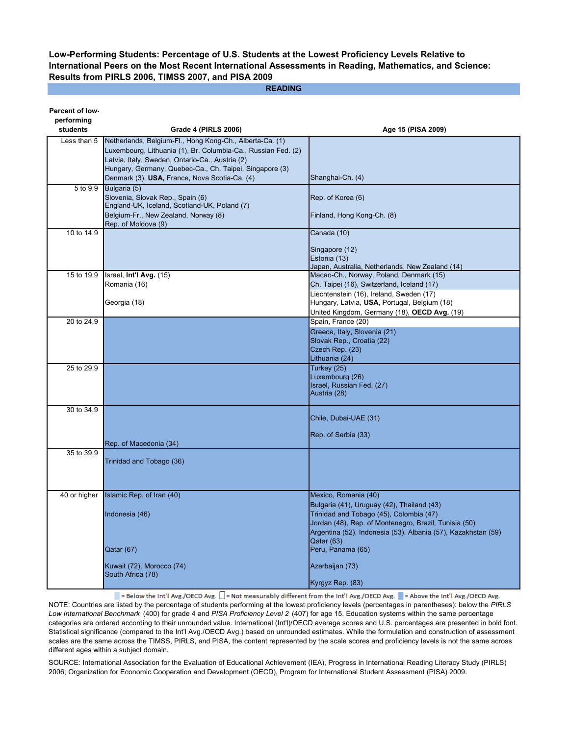**Low-Performing Students: Percentage of U.S. Students at the Lowest Proficiency Levels Relative to International Peers on the Most Recent International Assessments in Reading, Mathematics, and Science: Results from PIRLS 2006, TIMSS 2007, and PISA 2009**

**READING**

| performing<br>students<br><b>Grade 4 (PIRLS 2006)</b><br>Age 15 (PISA 2009)                                                         |  |
|-------------------------------------------------------------------------------------------------------------------------------------|--|
|                                                                                                                                     |  |
| Netherlands, Belgium-Fl., Hong Kong-Ch., Alberta-Ca. (1)<br>Less than 5                                                             |  |
| Luxembourg, Lithuania (1), Br. Columbia-Ca., Russian Fed. (2)                                                                       |  |
| Latvia, Italy, Sweden, Ontario-Ca., Austria (2)                                                                                     |  |
| Hungary, Germany, Quebec-Ca., Ch. Taipei, Singapore (3)                                                                             |  |
| Denmark (3), USA, France, Nova Scotia-Ca. (4)<br>Shanghai-Ch. (4)                                                                   |  |
| Bulgaria (5)<br>5 to 9.9                                                                                                            |  |
| Slovenia, Slovak Rep., Spain (6)<br>Rep. of Korea (6)                                                                               |  |
| England-UK, Iceland, Scotland-UK, Poland (7)<br>Belgium-Fr., New Zealand, Norway (8)<br>Finland, Hong Kong-Ch. (8)                  |  |
| Rep. of Moldova (9)                                                                                                                 |  |
| 10 to 14.9<br>Canada (10)                                                                                                           |  |
|                                                                                                                                     |  |
| Singapore (12)                                                                                                                      |  |
| Estonia (13)                                                                                                                        |  |
| Japan, Australia, Netherlands, New Zealand (14)<br>15 to 19.9<br>Israel, Int'l Avg. (15)<br>Macao-Ch., Norway, Poland, Denmark (15) |  |
| Romania (16)<br>Ch. Taipei (16), Switzerland, Iceland (17)                                                                          |  |
| Liechtenstein (16), Ireland, Sweden (17)                                                                                            |  |
| Hungary, Latvia, USA, Portugal, Belgium (18)<br>Georgia (18)                                                                        |  |
| United Kingdom, Germany (18), OECD Avg. (19)                                                                                        |  |
| 20 to 24.9<br>Spain, France (20)                                                                                                    |  |
| Greece, Italy, Slovenia (21)                                                                                                        |  |
| Slovak Rep., Croatia (22)                                                                                                           |  |
| Czech Rep. (23)                                                                                                                     |  |
| Lithuania (24)                                                                                                                      |  |
| Turkey (25)<br>25 to 29.9                                                                                                           |  |
| Luxembourg (26)                                                                                                                     |  |
| Israel, Russian Fed. (27)<br>Austria (28)                                                                                           |  |
|                                                                                                                                     |  |
| 30 to 34.9                                                                                                                          |  |
| Chile, Dubai-UAE (31)                                                                                                               |  |
| Rep. of Serbia (33)                                                                                                                 |  |
| Rep. of Macedonia (34)                                                                                                              |  |
| 35 to 39.9                                                                                                                          |  |
| Trinidad and Tobago (36)                                                                                                            |  |
|                                                                                                                                     |  |
|                                                                                                                                     |  |
| Islamic Rep. of Iran (40)<br>Mexico, Romania (40)<br>40 or higher                                                                   |  |
| Bulgaria (41), Uruguay (42), Thailand (43)                                                                                          |  |
| Trinidad and Tobago (45), Colombia (47)<br>Indonesia (46)                                                                           |  |
| Jordan (48), Rep. of Montenegro, Brazil, Tunisia (50)                                                                               |  |
| Argentina (52), Indonesia (53), Albania (57), Kazakhstan (59)                                                                       |  |
| Qatar (63)                                                                                                                          |  |
| Peru, Panama (65)<br>Qatar (67)                                                                                                     |  |
|                                                                                                                                     |  |
| Kuwait (72), Morocco (74)<br>Azerbaijan (73)<br>South Africa (78)                                                                   |  |
| Kyrgyz Rep. (83)                                                                                                                    |  |

= Below the Int'l Avg./OECD Avg.  $\Box$  = Not measurably different from the Int'l Avg./OECD Avg. = Above the Int'l Avg./OECD Avg. NOTE: Countries are listed by the percentage of students performing at the lowest proficiency levels (percentages in parentheses): below the *PIRLS Low International Benchmark* (400) for grade 4 and *PISA Proficiency Level 2* (407) for age 15. Education systems within the same percentage categories are ordered according to their unrounded value. International (Int'l)/OECD average scores and U.S. percentages are presented in bold font. Statistical significance (compared to the Int'l Avg./OECD Avg.) based on unrounded estimates. While the formulation and construction of assessment scales are the same across the TIMSS, PIRLS, and PISA, the content represented by the scale scores and proficiency levels is not the same across different ages within a subject domain.

SOURCE: International Association for the Evaluation of Educational Achievement (IEA), Progress in International Reading Literacy Study (PIRLS) 2006; Organization for Economic Cooperation and Development (OECD), Program for International Student Assessment (PISA) 2009.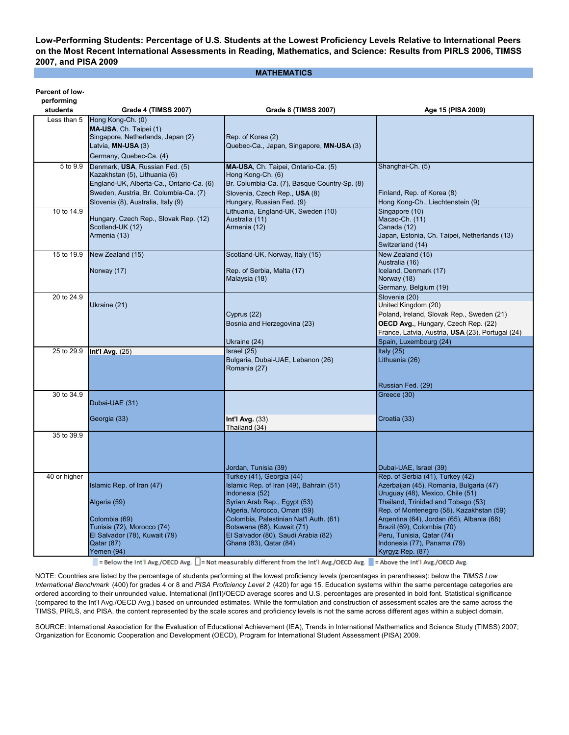**Low-Performing Students: Percentage of U.S. Students at the Lowest Proficiency Levels Relative to International Peers on the Most Recent International Assessments in Reading, Mathematics, and Science: Results from PIRLS 2006, TIMSS 2007, and PISA 2009**

**MATHEMATICS**

**Percent of low-**

| pertorming<br>students | Grade 4 (TIMSS 2007)                                            | Grade 8 (TIMSS 2007)                                                 | Age 15 (PISA 2009)                                                               |
|------------------------|-----------------------------------------------------------------|----------------------------------------------------------------------|----------------------------------------------------------------------------------|
| Less than 5            | Hong Kong-Ch. (0)                                               |                                                                      |                                                                                  |
|                        | MA-USA, Ch. Taipei (1)<br>Singapore, Netherlands, Japan (2)     | Rep. of Korea (2)                                                    |                                                                                  |
|                        | Latvia, MN-USA (3)                                              | Quebec-Ca., Japan, Singapore, MN-USA (3)                             |                                                                                  |
|                        | Germany, Quebec-Ca. (4)                                         |                                                                      |                                                                                  |
| 5 to 9.9               | Denmark, USA, Russian Fed. (5)<br>Kazakhstan (5), Lithuania (6) | MA-USA, Ch. Taipei, Ontario-Ca. (5)<br>Hong Kong-Ch. (6)             | Shanghai-Ch. (5)                                                                 |
|                        | England-UK, Alberta-Ca., Ontario-Ca. (6)                        | Br. Columbia-Ca. (7), Basque Country-Sp. (8)                         |                                                                                  |
|                        | Sweden, Austria, Br. Columbia-Ca. (7)                           | Slovenia, Czech Rep., USA (8)                                        | Finland, Rep. of Korea (8)                                                       |
|                        | Slovenia (8), Australia, Italy (9)                              | Hungary, Russian Fed. (9)                                            | Hong Kong-Ch., Liechtenstein (9)                                                 |
| 10 to 14.9             | Hungary, Czech Rep., Slovak Rep. (12)                           | Lithuania, England-UK, Sweden (10)<br>Australia (11)                 | Singapore (10)<br>Macao-Ch. (11)                                                 |
|                        | Scotland-UK (12)                                                | Armenia (12)                                                         | Canada (12)                                                                      |
|                        | Armenia (13)                                                    |                                                                      | Japan, Estonia, Ch. Taipei, Netherlands (13)                                     |
| 15 to 19.9             | New Zealand (15)                                                | Scotland-UK, Norway, Italy (15)                                      | Switzerland (14)<br>New Zealand (15)                                             |
|                        |                                                                 |                                                                      | Australia (16)                                                                   |
|                        | Norway (17)                                                     | Rep. of Serbia, Malta (17)                                           | Iceland, Denmark (17)                                                            |
|                        |                                                                 | Malaysia (18)                                                        | Norway (18)<br>Germany, Belgium (19)                                             |
| 20 to 24.9             |                                                                 |                                                                      | Slovenia (20)                                                                    |
|                        | Ukraine (21)                                                    |                                                                      | United Kingdom (20)                                                              |
|                        |                                                                 | Cyprus (22)<br>Bosnia and Herzegovina (23)                           | Poland, Ireland, Slovak Rep., Sweden (21)<br>OECD Avg., Hungary, Czech Rep. (22) |
|                        |                                                                 |                                                                      | France, Latvia, Austria, USA (23), Portugal (24)                                 |
|                        |                                                                 | Ukraine (24)                                                         | Spain, Luxembourg (24)                                                           |
| 25 to 29.9             | Int'l Avg. $(25)$                                               | Israel (25)                                                          | Italy $(25)$                                                                     |
|                        |                                                                 | Bulgaria, Dubai-UAE, Lebanon (26)<br>Romania (27)                    | Lithuania (26)                                                                   |
|                        |                                                                 |                                                                      |                                                                                  |
|                        |                                                                 |                                                                      | Russian Fed. (29)                                                                |
| 30 to 34.9             | Dubai-UAE (31)                                                  |                                                                      | Greece (30)                                                                      |
|                        |                                                                 |                                                                      |                                                                                  |
|                        | Georgia (33)                                                    | Int'l Avg. $(33)$                                                    | Croatia (33)                                                                     |
| 35 to 39.9             |                                                                 | Thailand (34)                                                        |                                                                                  |
|                        |                                                                 |                                                                      |                                                                                  |
|                        |                                                                 |                                                                      |                                                                                  |
|                        |                                                                 | Jordan, Tunisia (39)                                                 | Dubai-UAE, Israel (39)                                                           |
| 40 or higher           |                                                                 | Turkey (41), Georgia (44)                                            | Rep. of Serbia (41), Turkey (42)                                                 |
|                        | Islamic Rep. of Iran (47)                                       | Islamic Rep. of Iran (49), Bahrain (51)<br>Indonesia (52)            | Azerbaijan (45), Romania, Bulgaria (47)<br>Uruguay (48), Mexico, Chile (51)      |
|                        | Algeria (59)                                                    | Syrian Arab Rep., Egypt (53)                                         | Thailand, Trinidad and Tobago (53)                                               |
|                        |                                                                 | Algeria, Morocco, Oman (59)                                          | Rep. of Montenegro (58), Kazakhstan (59)                                         |
|                        | Colombia (69)<br>Tunisia (72), Morocco (74)                     | Colombia, Palestinian Nat'l Auth. (61)<br>Botswana (68), Kuwait (71) | Argentina (64), Jordan (65), Albania (68)<br>Brazil (69), Colombia (70)          |
|                        | El Salvador (78), Kuwait (79)                                   | El Salvador (80), Saudi Arabia (82)                                  | Peru, Tunisia, Qatar (74)                                                        |
|                        | Qatar (87)                                                      | Ghana (83), Qatar (84)                                               | Indonesia (77), Panama (79)                                                      |
|                        | Yemen (94)                                                      |                                                                      | Kyrgyz Rep. (87)                                                                 |

= Below the Int'l Avg./OECD Avg.  $\Box$  = Not measurably different from the Int'l Avg./OECD Avg. = Above the Int'l Avg./OECD Avg.

NOTE: Countries are listed by the percentage of students performing at the lowest proficiency levels (percentages in parentheses): below the *TIMSS Low International Benchmark* (400) for grades 4 or 8 and *PISA Proficiency Level 2* (420) for age 15. Education systems within the same percentage categories are ordered according to their unrounded value. International (Int'l)/OECD average scores and U.S. percentages are presented in bold font. Statistical significance (compared to the Int'l Avg./OECD Avg.) based on unrounded estimates. While the formulation and construction of assessment scales are the same across the TIMSS, PIRLS, and PISA, the content represented by the scale scores and proficiency levels is not the same across different ages within a subject domain.

SOURCE: International Association for the Evaluation of Educational Achievement (IEA), Trends in International Mathematics and Science Study (TIMSS) 2007; Organization for Economic Cooperation and Development (OECD), Program for International Student Assessment (PISA) 2009.